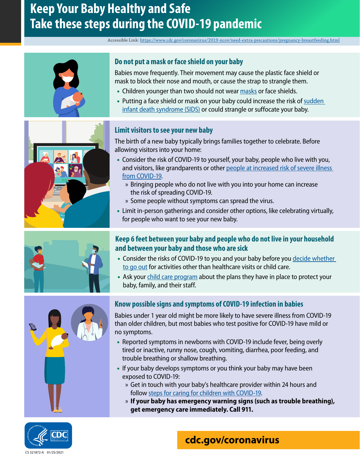# **Keep Your Baby Healthy and Safe Take these steps during the COVID-19 pandemic**

#### Accessible Link:<https://www.cdc.gov/coronavirus/2019-ncov/need-extra-precautions/pregnancy-breastfeeding.html>









### **Do not put a mask or face shield on your baby**

Babies move frequently. Their movement may cause the plastic face shield or mask to block their nose and mouth, or cause the strap to strangle them.

- Children younger than two should not wear [masks](https://www.cdc.gov/coronavirus/2019-ncov/prevent-getting-sick/about-face-coverings.html) or face shields.
- Putting a face shield or mask on your baby could increase the risk of [sudden](https://www.cdc.gov/sids/Parents-Caregivers.htm)  [infant death syndrome \(SIDS\)](https://www.cdc.gov/sids/Parents-Caregivers.htm) or could strangle or suffocate your baby.

#### **Limit visitors to see your new baby**

The birth of a new baby typically brings families together to celebrate. Before allowing visitors into your home:

- Consider the risk of COVID-19 to yourself, your baby, people who live with you, and visitors, like grandparents or other [people at increased risk of severe illness](https://www.cdc.gov/coronavirus/2019-ncov/need-extra-precautions/index.html)  [from COVID-19.](https://www.cdc.gov/coronavirus/2019-ncov/need-extra-precautions/index.html)
	- » Bringing people who do not live with you into your home can increase the risk of spreading COVID-19.
	- » Some people without symptoms can spread the virus.
- [Limit in-person gatherings](http://1) and consider other options, like celebrating virtually, for people who want to see your new baby.

### **Keep 6 feet between your baby and people who do not live in your household and between your baby and those who are sick**

- Consider the risks of COVID-19 to you and your baby before you decide whether [to go out](https://www.cdc.gov/coronavirus/2019-ncov/daily-life-coping/deciding-to-go-out.html) for activities other than healthcare visits or child care.
- Ask your [child care program](https://www.cdc.gov/coronavirus/2019-ncov/community/schools-childcare/guidance-for-childcare.html) about the plans they have in place to protect your baby, family, and their staff.

### **Know possible signs and symptoms of COVID-19 infection in babies**

Babies under 1 year old might be more likely to have severe illness from COVID-19 than older children, but most babies who test positive for COVID-19 have mild or no symptoms.

- Reported symptoms in newborns with COVID-19 include fever, being overly tired or inactive, runny nose, cough, vomiting, diarrhea, poor feeding, and trouble breathing or shallow breathing.
- If your baby develops symptoms or you think your baby may have been exposed to COVID-19:
	- » Get in touch with your baby's healthcare provider within 24 hours and follow [steps for caring for children with COVID-19.](https://www.cdc.gov/coronavirus/2019-ncov/daily-life-coping/children/symptoms.html)
	- » **If your baby has emergency warning signs (such as trouble breathing), get emergency care immediately. Call 911.**



## **[cdc.gov/coronavirus](http://www.cdc.gov/coronavirus)**